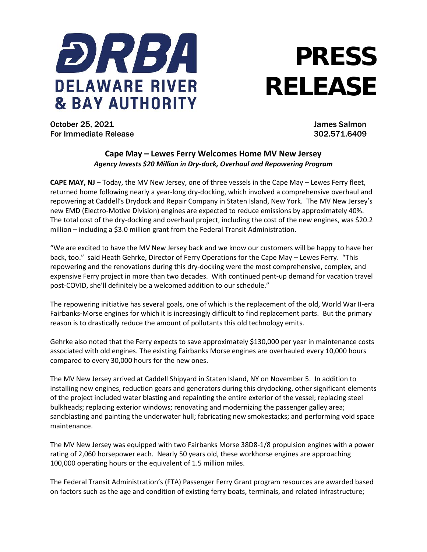

## **PRESS RELEASE**

October 25, 2021 James Salmon For Immediate Release 302.571.6409

## **Cape May – Lewes Ferry Welcomes Home MV New Jersey** *Agency Invests \$20 Million in Dry-dock, Overhaul and Repowering Program*

**CAPE MAY, NJ** – Today, the MV New Jersey, one of three vessels in the Cape May – Lewes Ferry fleet, returned home following nearly a year-long dry-docking, which involved a comprehensive overhaul and repowering at Caddell's Drydock and Repair Company in Staten Island, New York. The MV New Jersey's new EMD (Electro-Motive Division) engines are expected to reduce emissions by approximately 40%. The total cost of the dry-docking and overhaul project, including the cost of the new engines, was \$20.2 million – including a \$3.0 million grant from the Federal Transit Administration.

"We are excited to have the MV New Jersey back and we know our customers will be happy to have her back, too." said Heath Gehrke, Director of Ferry Operations for the Cape May – Lewes Ferry. "This repowering and the renovations during this dry-docking were the most comprehensive, complex, and expensive Ferry project in more than two decades. With continued pent-up demand for vacation travel post-COVID, she'll definitely be a welcomed addition to our schedule."

The repowering initiative has several goals, one of which is the replacement of the old, World War II-era Fairbanks-Morse engines for which it is increasingly difficult to find replacement parts. But the primary reason is to drastically reduce the amount of pollutants this old technology emits.

Gehrke also noted that the Ferry expects to save approximately \$130,000 per year in maintenance costs associated with old engines. The existing Fairbanks Morse engines are overhauled every 10,000 hours compared to every 30,000 hours for the new ones.

The MV New Jersey arrived at Caddell Shipyard in Staten Island, NY on November 5. In addition to installing new engines, reduction gears and generators during this drydocking, other significant elements of the project included water blasting and repainting the entire exterior of the vessel; replacing steel bulkheads; replacing exterior windows; renovating and modernizing the passenger galley area; sandblasting and painting the underwater hull; fabricating new smokestacks; and performing void space maintenance.

The MV New Jersey was equipped with two Fairbanks Morse 38D8-1/8 propulsion engines with a power rating of 2,060 horsepower each. Nearly 50 years old, these workhorse engines are approaching 100,000 operating hours or the equivalent of 1.5 million miles.

The Federal Transit Administration's (FTA) Passenger Ferry Grant program resources are awarded based on factors such as the age and condition of existing ferry boats, terminals, and related infrastructure;